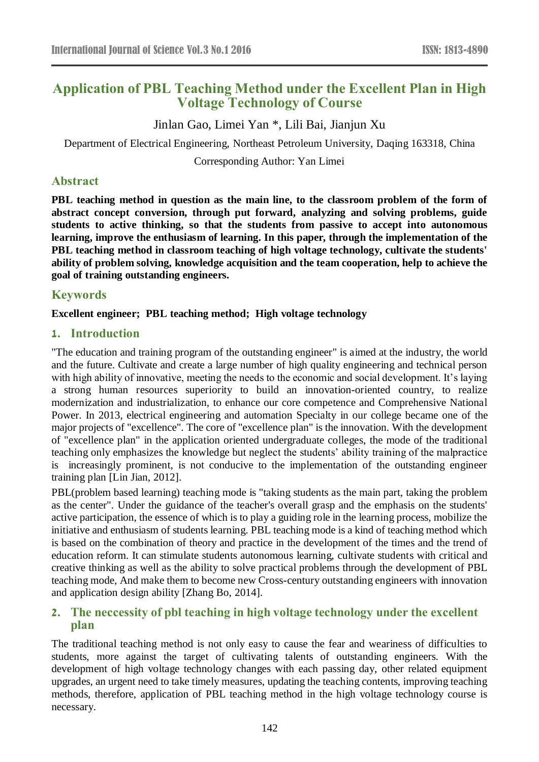# **Application of PBL Teaching Method under the Excellent Plan in High Voltage Technology of Course**

Jinlan Gao, Limei Yan \*, Lili Bai, Jianjun Xu

Department of Electrical Engineering, Northeast Petroleum University, Daqing 163318, China

Corresponding Author: Yan Limei

# **Abstract**

**PBL teaching method in question as the main line, to the classroom problem of the form of abstract concept conversion, through put forward, analyzing and solving problems, guide students to active thinking, so that the students from passive to accept into autonomous learning, improve the enthusiasm of learning. In this paper, through the implementation of the PBL teaching method in classroom teaching of high voltage technology, cultivate the students' ability of problem solving, knowledge acquisition and the team cooperation, help to achieve the goal of training outstanding engineers.**

# **Keywords**

**Excellent engineer; PBL teaching method; High voltage technology**

# **1. Introduction**

"The education and training program of the outstanding engineer" is aimed at the industry, the world and the future. Cultivate and create a large number of high quality engineering and technical person with high ability of innovative, meeting the needs to the economic and social development. It's laying a strong human resources superiority to build an innovation-oriented country, to realize modernization and industrialization, to enhance our core competence and Comprehensive National Power. In 2013, electrical engineering and automation Specialty in our college became one of the major projects of "excellence". The core of "excellence plan" is the innovation. With the development of "excellence plan" in the application oriented undergraduate colleges, the mode of the traditional teaching only emphasizes the knowledge but neglect the students' ability training of the malpractice is increasingly prominent, is not conducive to the implementation of the outstanding engineer training plan [Lin Jian, 2012].

PBL(problem based learning) teaching mode is "taking students as the main part, taking the problem as the center". Under the guidance of the teacher's overall grasp and the emphasis on the students' active participation, the essence of which is to play a guiding role in the learning process, mobilize the initiative and enthusiasm of students learning. PBL teaching mode is a kind of teaching method which is based on the combination of theory and practice in the development of the times and the trend of education reform. It can stimulate students autonomous learning, cultivate students with critical and creative thinking as well as the ability to solve practical problems through the development of PBL teaching mode, And make them to become new Cross-century outstanding engineers with innovation and application design ability [Zhang Bo, 2014].

# **2. The neccessity of pbl teaching in high voltage technology under the excellent plan**

The traditional teaching method is not only easy to cause the fear and weariness of difficulties to students, more against the target of cultivating talents of outstanding engineers. With the development of high voltage technology changes with each passing day, other related equipment upgrades, an urgent need to take timely measures, updating the teaching contents, improving teaching methods, therefore, application of PBL teaching method in the high voltage technology course is necessary.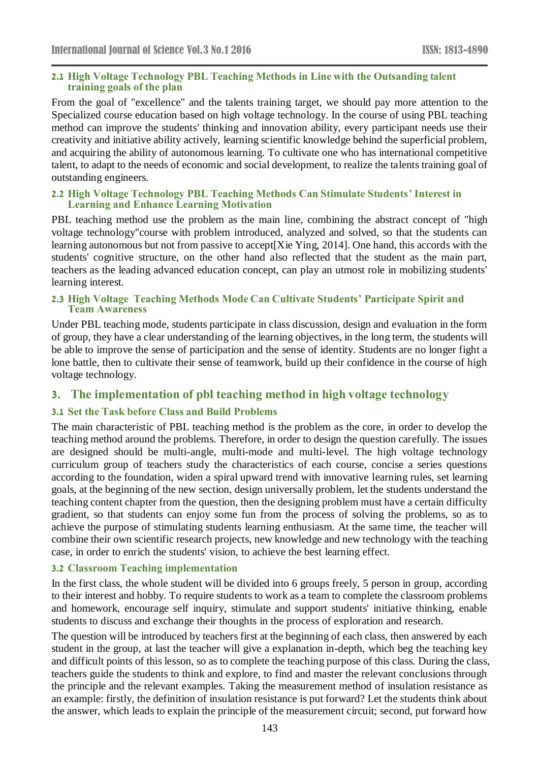#### **2.1 High Voltage Technology PBL Teaching Methods in Line with the Outsanding talent training goals of the plan**

From the goal of "excellence" and the talents training target, we should pay more attention to the Specialized course education based on high voltage technology. In the course of using PBL teaching method can improve the students' thinking and innovation ability, every participant needs use their creativity and initiative ability actively, learning scientific knowledge behind the superficial problem, and acquiring the ability of autonomous learning. To cultivate one who has international competitive talent, to adapt to the needs of economic and social development, to realize the talents training goal of outstanding engineers.

#### **2.2 High Voltage Technology PBL Teaching Methods Can Stimulate Students' Interest in Learning and Enhance Learning Motivation**

PBL teaching method use the problem as the main line, combining the abstract concept of "high voltage technology"course with problem introduced, analyzed and solved, so that the students can learning autonomous but not from passive to accept[Xie Ying, 2014]. One hand, this accords with the students' cognitive structure, on the other hand also reflected that the student as the main part, teachers as the leading advanced education concept, can play an utmost role in mobilizing students' learning interest.

#### **2.3 High Voltage Teaching Methods Mode Can Cultivate Students' Participate Spirit and Team Awareness**

Under PBL teaching mode, students participate in class discussion, design and evaluation in the form of group, they have a clear understanding of the learning objectives, in the long term, the students will be able to improve the sense of participation and the sense of identity. Students are no longer fight a lone battle, then to cultivate their sense of teamwork, build up their confidence in the course of high voltage technology.

# **3. The implementation of pbl teaching method in high voltage technology**

### **3.1 Set the Task before Class and Build Problems**

The main characteristic of PBL teaching method is the problem as the core, in order to develop the teaching method around the problems. Therefore, in order to design the question carefully. The issues are designed should be multi-angle, multi-mode and multi-level. The high voltage technology curriculum group of teachers study the characteristics of each course, concise a series questions according to the foundation, widen a spiral upward trend with innovative learning rules, set learning goals, at the beginning of the new section, design universally problem, let the students understand the teaching content chapter from the question, then the designing problem must have a certain difficulty gradient, so that students can enjoy some fun from the process of solving the problems, so as to achieve the purpose of stimulating students learning enthusiasm. At the same time, the teacher will combine their own scientific research projects, new knowledge and new technology with the teaching case, in order to enrich the students' vision, to achieve the best learning effect.

#### **3.2 Classroom Teaching implementation**

In the first class, the whole student will be divided into 6 groups freely, 5 person in group, according to their interest and hobby. To require students to work as a team to complete the classroom problems and homework, encourage self inquiry, stimulate and support students' initiative thinking, enable students to discuss and exchange their thoughts in the process of exploration and research.

The question will be introduced by teachers first at the beginning of each class, then answered by each student in the group, at last the teacher will give a explanation in-depth, which beg the teaching key and difficult points of this lesson, so as to complete the teaching purpose of this class. During the class, teachers guide the students to think and explore, to find and master the relevant conclusions through the principle and the relevant examples. Taking the measurement method of insulation resistance as an example: firstly, the definition of insulation resistance is put forward? Let the students think about the answer, which leads to explain the principle of the measurement circuit; second, put forward how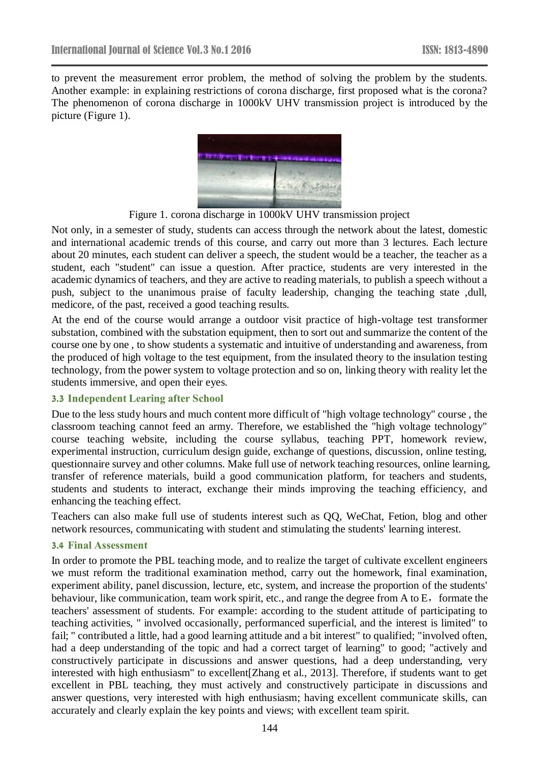to prevent the measurement error problem, the method of solving the problem by the students. Another example: in explaining restrictions of corona discharge, first proposed what is the corona? The phenomenon of corona discharge in 1000kV UHV transmission project is introduced by the picture (Figure 1).



Figure 1. corona discharge in 1000kV UHV transmission project

Not only, in a semester of study, students can access through the network about the latest, domestic and international academic trends of this course, and carry out more than 3 lectures. Each lecture about 20 minutes, each student can deliver a speech, the student would be a teacher, the teacher as a student, each "student" can issue a question. After practice, students are very interested in the academic dynamics of teachers, and they are active to reading materials, to publish a speech without a push, subject to the unanimous praise of faculty leadership, changing the teaching state ,dull, medicore, of the past, received a good teaching results.

At the end of the course would arrange a outdoor visit practice of high-voltage test transformer substation, combined with the substation equipment, then to sort out and summarize the content of the course one by one , to show students a systematic and intuitive of understanding and awareness, from the produced of high voltage to the test equipment, from the insulated theory to the insulation testing technology, from the power system to voltage protection and so on, linking theory with reality let the students immersive, and open their eyes.

#### **3.3 Independent Learing after School**

Due to the less study hours and much content more difficult of "high voltage technology" course , the classroom teaching cannot feed an army. Therefore, we established the "high voltage technology" course teaching website, including the course syllabus, teaching PPT, homework review, experimental instruction, curriculum design guide, exchange of questions, discussion, online testing, questionnaire survey and other columns. Make full use of network teaching resources, online learning, transfer of reference materials, build a good communication platform, for teachers and students, students and students to interact, exchange their minds improving the teaching efficiency, and enhancing the teaching effect.

Teachers can also make full use of students interest such as QQ, WeChat, Fetion, blog and other network resources, communicating with student and stimulating the students' learning interest.

#### **3.4 Final Assessment**

In order to promote the PBL teaching mode, and to realize the target of cultivate excellent engineers we must reform the traditional examination method, carry out the homework, final examination, experiment ability, panel discussion, lecture, etc, system, and increase the proportion of the students' behaviour, like communication, team work spirit, etc., and range the degree from A to E, formate the teachers' assessment of students. For example: according to the student attitude of participating to teaching activities, " involved occasionally, performanced superficial, and the interest is limited" to fail; " contributed a little, had a good learning attitude and a bit interest" to qualified; "involved often, had a deep understanding of the topic and had a correct target of learning" to good; "actively and constructively participate in discussions and answer questions, had a deep understanding, very interested with high enthusiasm" to excellent[Zhang et al., 2013]. Therefore, if students want to get excellent in PBL teaching, they must actively and constructively participate in discussions and answer questions, very interested with high enthusiasm; having excellent communicate skills, can accurately and clearly explain the key points and views; with excellent team spirit.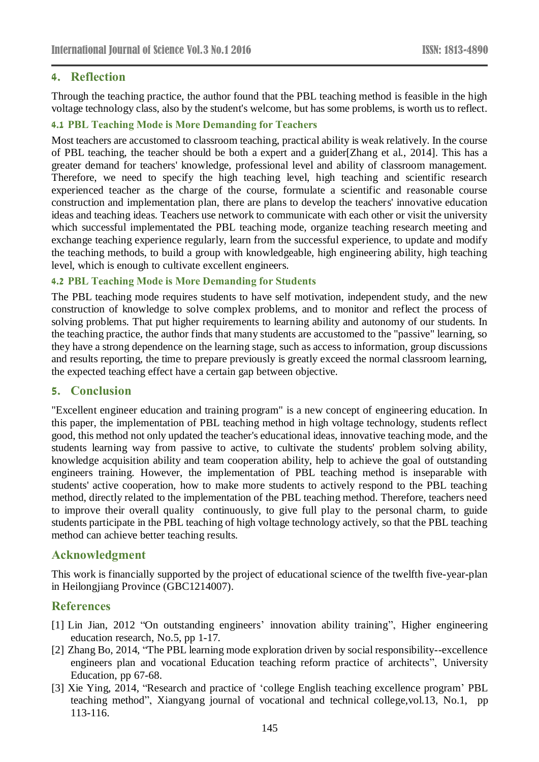# **4. Reflection**

Through the teaching practice, the author found that the PBL teaching method is feasible in the high voltage technology class, also by the student's welcome, but has some problems, is worth us to reflect.

### **4.1 PBL Teaching Mode is More Demanding for Teachers**

Most teachers are accustomed to classroom teaching, practical ability is weak relatively. In the course of PBL teaching, the teacher should be both a expert and a guider[Zhang et al., 2014]. This has a greater demand for teachers' knowledge, professional level and ability of classroom management. Therefore, we need to specify the high teaching level, high teaching and scientific research experienced teacher as the charge of the course, formulate a scientific and reasonable course construction and implementation plan, there are plans to develop the teachers' innovative education ideas and teaching ideas. Teachers use network to communicate with each other or visit the university which successful implementated the PBL teaching mode, organize teaching research meeting and exchange teaching experience regularly, learn from the successful experience, to update and modify the teaching methods, to build a group with knowledgeable, high engineering ability, high teaching level, which is enough to cultivate excellent engineers.

### **4.2 PBL Teaching Mode is More Demanding for Students**

The PBL teaching mode requires students to have self motivation, independent study, and the new construction of knowledge to solve complex problems, and to monitor and reflect the process of solving problems. That put higher requirements to learning ability and autonomy of our students. In the teaching practice, the author finds that many students are accustomed to the "passive" learning, so they have a strong dependence on the learning stage, such as access to information, group discussions and results reporting, the time to prepare previously is greatly exceed the normal classroom learning, the expected teaching effect have a certain gap between objective.

# **5. Conclusion**

"Excellent engineer education and training program" is a new concept of engineering education. In this paper, the implementation of PBL teaching method in high voltage technology, students reflect good, this method not only updated the teacher's educational ideas, innovative teaching mode, and the students learning way from passive to active, to cultivate the students' problem solving ability, knowledge acquisition ability and team cooperation ability, help to achieve the goal of outstanding engineers training. However, the implementation of PBL teaching method is inseparable with students' active cooperation, how to make more students to actively respond to the PBL teaching method, directly related to the implementation of the PBL teaching method. Therefore, teachers need to improve their overall quality continuously, to give full play to the personal charm, to guide students participate in the PBL teaching of high voltage technology actively, so that the PBL teaching method can achieve better teaching results.

# **Acknowledgment**

This work is financially supported by the project of educational science of the twelfth five-year-plan in Heilongjiang Province (GBC1214007).

# **References**

- [1] Lin Jian, 2012 "On outstanding engineers' innovation ability training", Higher engineering education research, No.5, pp 1-17.
- [2] Zhang Bo, 2014, "The PBL learning mode exploration driven by social responsibility--excellence engineers plan and vocational Education teaching reform practice of architects", University Education, pp 67-68.
- [3] Xie Ying, 2014, "Research and practice of 'college English teaching excellence program' PBL teaching method", Xiangyang journal of vocational and technical college,vol.13, No.1, pp 113-116.